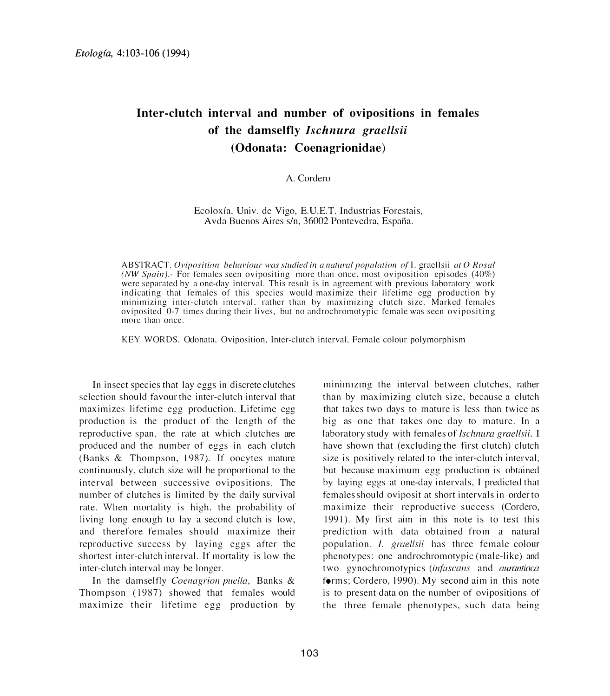# **Inter-clutch interval and number of ovipositions in females of the damselfly** *Ischnura graellsii*  **(Odonata: Coenagrionidae)**

A. Cordero

Ecoloxfa. Univ. de Vigo, E.U.E.T. Industrias Forestais, A vda Buenos Aires s/n, 36002 Pontevedra, Espana.

ABSTRACT. Oviposition behaviour was studied in a natural population of I. graellsii at O Rosal (NW Spain).- For females seen ovipositing more than once. most oviposition episodes (40%) were separated by a one-day interval. This result is in agreement with previous laboratory work indicating that females of this species would maximize their lifetime egg production by minimizing inter-clutch interval. rather than by maximizing clutch size. Marked females oviposited 0-7 times during their lives, but no androchromotypic female was seen ovipositing more than once.

KEY WORDS. Odonata. Oviposition. Inter-clutch interval. Female colour polymorphism

In insect species that lay eggs in discrete clutches selection should favour the inter-clutch interval that maximizes lifetime egg production. Lifetime egg production is the product of the length of the reproductive span, the rate at which clutches are produced and the numher of eggs in each clutch (Banks & Thompson, 1987). If oocytes mature continuously, clutch size will be proportional to the interval between successive ovipositions. The number of clutches is limited by the daily survival rate. When mortality is high, the probability of living long enough to lay a second clutch is low, and therefore females should maximize their reproductive success by laying eggs after the shortest inter-clutch interval. If mortality is low the inter-clutch interval may be longer.

In the damselfly *Coenagrion puella*, Banks & Thompson (1987) showed that females would maximize their lifetime egg production by

minimizing the interval between clutches, rather than by maximizing clutch size, because a clutch that takes two days to mature is less than twice as big as one that takes one day to mature. In a laboratory study with females of *Ischnura graellsii*, I have shown that (excluding the first clutch) clutch size is positively related to the inter-clutch interval. but because maximum egg production is obtained by laying eggs at one-day intervals, I predicted that females should oviposit at short intervals in orderto maximize their reproductive success (Cordero, 1991). My first aim in this note is to test this prediction with data obtained from a natural population. /. *graellsii* has three female colour phenotypes: one androchromotypic (male-like) and two gynochromotypics (infuscans and *aurantiaca* forms; Cordero, 1990). My second aim in this note is to present data on the number of ovipositions of the three female phenotypes, such data being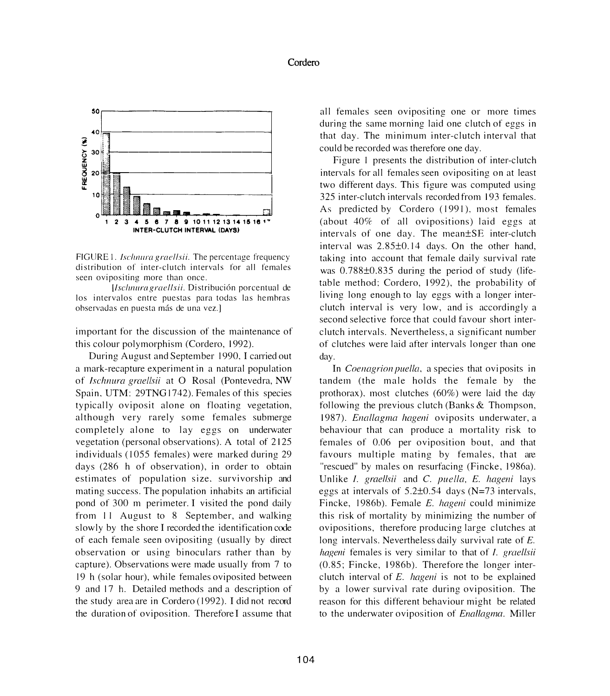

FIGURE 1. *Ischnura graellsii*. The percentage frequency distribution of inter-clutch intervals for all females seen ovipositing more than once.

[Ischnura graellsii. Distribución porcentual de los intervalos entre puestas para todas las hemhras observadas en puesta más de una vez.]

important for the discussion of the maintenance of this colour polymorphism (Cordero, 1992).

During August and September 1990, I carried out a mark-recapture experiment in a natural population of */schnura grae//sii* at O Rosal (Pontevedra, NW Spain. UTM: 29TNG 1742). Females of this species typically oviposit alone on floating vegetation, although very rarely some females submerge completely alone to lay eggs on underwater vegetation (personal observations). A total of 2125 individuals (1055 females) were marked during 29 days (286 h of observation), in order to obtain estimates of population size. survivorship and mating success. The population inhabits an artificial pond of 300 m perimeter. I visited the pond daily from 11 August to 8 September, and walking slowly by the shore I recorded the identification code of each female seen ovipositing (usually by direct observation or using binoculars rather than by capture). Observations were made usually from 7 to 19 h (solar hour), while females oviposited between 9 and 17 h. Detailed methods and a description of the study area are in Cordero ( 1992). I did not record the duration of oviposition. Therefore I assume that all females seen ovipositing one or more times during the same morning laid one clutch of eggs in that day. The minimum inter-clutch interval that could be recorded was therefore one day.

Figure I presents the distribution of inter-clutch intervals for all females seen ovipositing on at least two different days. This figure was computed using 325 inter-clutch intervals recorded from 193 females. As predicted by Cordero (1991), most females (about  $40\%$  of all ovipositions) laid eggs at intervals of one day. The mean±SE inter-clutch interval was  $2.85\pm0.14$  days. On the other hand, taking into account that female daily survival rate was 0.788±0.835 during the period of study (lifetable method; Cordero, 1992), the probability of living long enough to lay eggs with a longer interclutch interval is very low, and is accordingly a second selective force that could favour short interclutch intervals. Nevertheless, a significant number of clutches were laid after intervals longer than one day.

In *Coenagrion puella*, a species that oviposits in tandem (the male holds the female by the prothorax). most clutches (60%) were laid the day following the previous clutch (Banks & Thompson, 1987). *Enallagma hageni* oviposits underwater, a behaviour that can produce a mortality risk to females of 0.06 per oviposition bout, and that favours multiple mating by females, that are "rescued" by males on resurfacing (Fincke, 1986a). Unlike *I. graellsii* and *C. puella, E. hageni* lays eggs at intervals of 5.2±0.54 days (N=73 intervals, Fincke, 1986b). Female *E. hageni* could minimize this risk of mortality by minimizing the number of ovipositions, therefore producing large clutches at long intervals. Nevertheless daily survival rate of *E. hageni* females is very similar to that of *I. graellsii* (0.85; Fincke, 1986b). Therefore the longer interclutch interval of *E. hageni* is not to be explained by a lower survival rate during oviposition. The reason for this different behaviour might be related to the underwater oviposition of *Ena//agmo.* Miller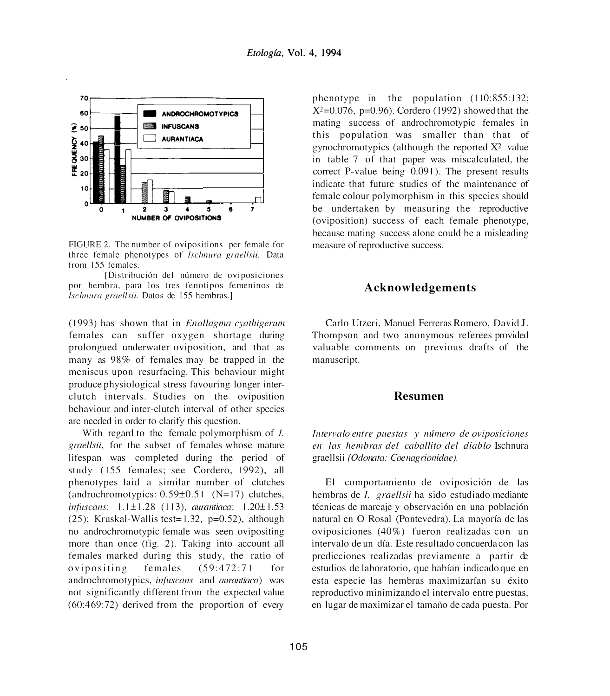

FIGURE 2. The number of ovipositions per female for three female phenotypes or *fschnura graellsii.* Data from 155 females.

[Distribución del número de oviposiciones por hemhra, para los tres fenotipos fcmeninos de *fsc/111.ura graellsii.* Datos de 155 hembras.]

( 1993) has shown that in *Enallagma cyathigerum*  females can suffer oxygen shortage during prolongued underwater oviposition, and that as many as 98% of females may be trapped in the meniscus upon resurfacing. This behaviour might produce physiological stress favouring longer interclutch intervals. Studies on the oviposition behaviour and inter-clutch interval of other species are needed in order to clarify this question.

With regard to the female polymorphism of *I*. *graellsii,* for the subset of females whose mature lifespan was completed during the period of study (155 females; see Cordero, 1992), all phenotypes laid a similar number of clutches (androchromotypics:  $0.59\pm0.51$  (N=17) clutches, *infitscans:* 1.1 ± I .28 ( I 13), *aurantiaca:* 1.20± 1.53 (25); Kruskal-Wallis test= $1.32$ , p=0.52), although no androchromotypic female was seen ovipositing more than once (fig. 2). Taking into account all females marked during this study, the ratio of ovipositing females (59:472:71 for androchromotypics, *infuscans* and *aurantiaca)* was not significantly different from the expected value (60:469:72) derived from the proportion of every phenotype in the population (110:855:132;  $X^2=0.076$ , p=0.96). Cordero (1992) showed that the mating success of androchromotypic females in this population was smaller than that of gynochromotypics (although the reported  $X^2$  value in table 7 of that paper was miscalculated, the correct P-value being 0.091 ). The present results indicate that future studies of the maintenance of female colour polymorphism in this species should be undertaken by measuring the reproductive (oviposition) success of each female phenotype, because mating success alone could be a misleading measure of reproductive success.

#### **Acknowledgements**

Carlo Utzeri, Manuel Ferreras Romero, David J. Thompson and two anonymous referees provided valuable comments on previous drafts of the manuscript.

## **Resumen**

*lntervalo entre puestas y numero de oviposiciones en las hembras de{ caballito de{ diablo* Ischnura graellsii (Odonata: Coenagrionidae).

El comportamiento de oviposición de las hembras de /. *graellsii* ha sido estudiado mediante técnicas de marcaje y observación en una población natural en O Rosal (Pontevedra). La mayorfa de las oviposiciones (40%) fueron realizadas con un intervalo de un dfa. Este resultado concuerdacon las predicciones realizadas previamente a partir de estudios de laboratorio, que habfan indicado que en esta especie las hembras maximizarían su éxito reproductivo minimizando el intervalo entre puestas, en lugar de maximizar el tamafio de cada puesta. Por